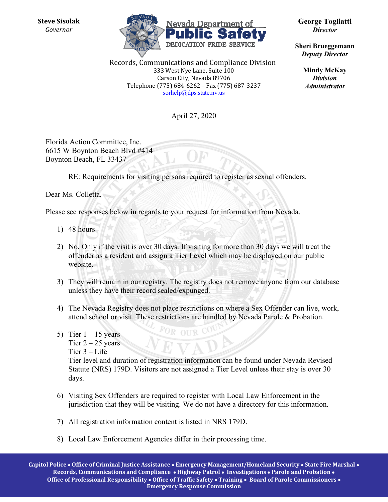**Steve Sisolak**  *Governor* 



Records, Communications and Compliance Division 333 West Nye Lane, Suite 100 Carson City, Nevada 89706 Telephone (775) 684-6262 – Fax (775) 687-3237 sorhelp@dps.state.nv.us

April 27, 2020

Florida Action Committee, Inc. 6615 W Boynton Beach Blvd #414 Boynton Beach, FL 33437

RE: Requirements for visiting persons required to register as sexual offenders.

Dear Ms. Colletta,

Please see responses below in regards to your request for information from Nevada.

- 1) 48 hours
- 2) No. Only if the visit is over 30 days. If visiting for more than 30 days we will treat the offender as a resident and assign a Tier Level which may be displayed on our public website.
- 3) They will remain in our registry. The registry does not remove anyone from our database unless they have their record sealed/expunged.
- 4) The Nevada Registry does not place restrictions on where a Sex Offender can live, work, attend school or visit. These restrictions are handled by Nevada Parole & Probation.

OR OUR C

5) Tier  $1 - 15$  years Tier  $2 - 25$  years Tier 3 – Life

Tier level and duration of registration information can be found under Nevada Revised Statute (NRS) 179D. Visitors are not assigned a Tier Level unless their stay is over 30 days.

- 6) Visiting Sex Offenders are required to register with Local Law Enforcement in the jurisdiction that they will be visiting. We do not have a directory for this information.
- 7) All registration information content is listed in NRS 179D.
- 8) Local Law Enforcement Agencies differ in their processing time.

**Capitol Police Office of Criminal Justice Assistance Emergency Management/Homeland Security State Fire Marshal Records, Communications and Compliance Highway Patrol Investigations Parole and Probation Office of Professional Responsibility Office of Traffic Safety Training Board of Parole Commissioners Emergency Response Commission**

**George Togliatti** *Director* 

**Sheri Brueggemann**  *Deputy Director* 

> **Mindy McKay** *Division Administrator*